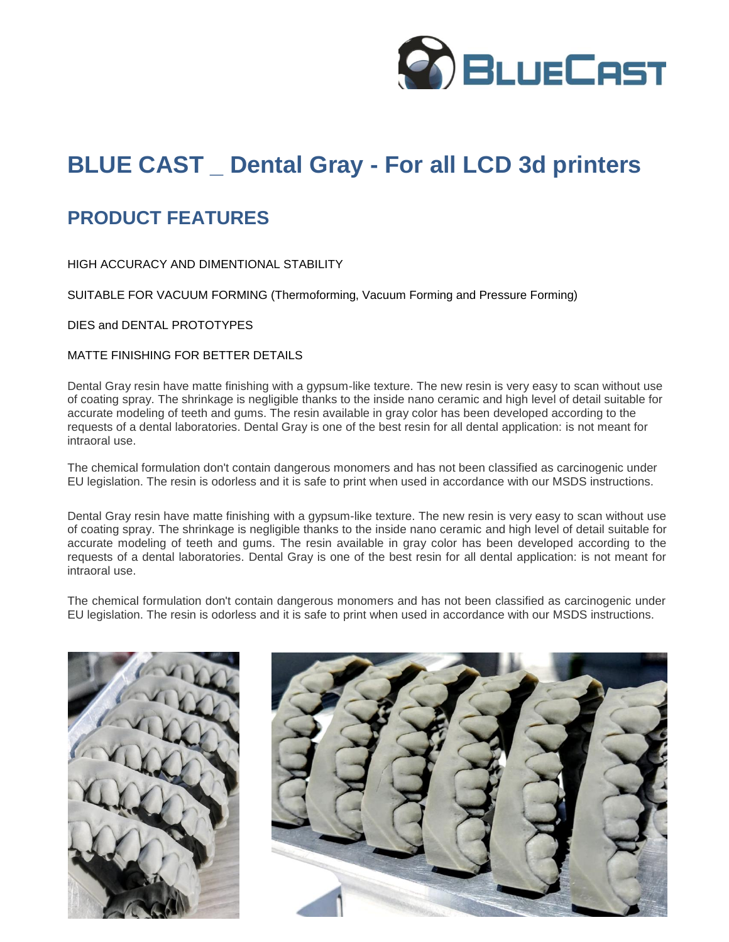

# **BLUE CAST \_ Dental Gray - For all LCD 3d printers**

### **PRODUCT FEATURES**

HIGH ACCURACY AND DIMENTIONAL STABILITY

SUITABLE FOR VACUUM FORMING (Thermoforming, Vacuum Forming and Pressure Forming)

DIES and DENTAL PROTOTYPES

#### MATTE FINISHING FOR BETTER DETAILS

Dental Gray resin have matte finishing with a gypsum-like texture. The new resin is very easy to scan without use of coating spray. The shrinkage is negligible thanks to the inside nano ceramic and high level of detail suitable for accurate modeling of teeth and gums. The resin available in gray color has been developed according to the requests of a dental laboratories. Dental Gray is one of the best resin for all dental application: is not meant for intraoral use.

The chemical formulation don't contain dangerous monomers and has not been classified as carcinogenic under EU legislation. The resin is odorless and it is safe to print when used in accordance with our MSDS instructions.

Dental Gray resin have matte finishing with a gypsum-like texture. The new resin is very easy to scan without use of coating spray. The shrinkage is negligible thanks to the inside nano ceramic and high level of detail suitable for accurate modeling of teeth and gums. The resin available in gray color has been developed according to the requests of a dental laboratories. Dental Gray is one of the best resin for all dental application: is not meant for intraoral use.

The chemical formulation don't contain dangerous monomers and has not been classified as carcinogenic under EU legislation. The resin is odorless and it is safe to print when used in accordance with our MSDS instructions.



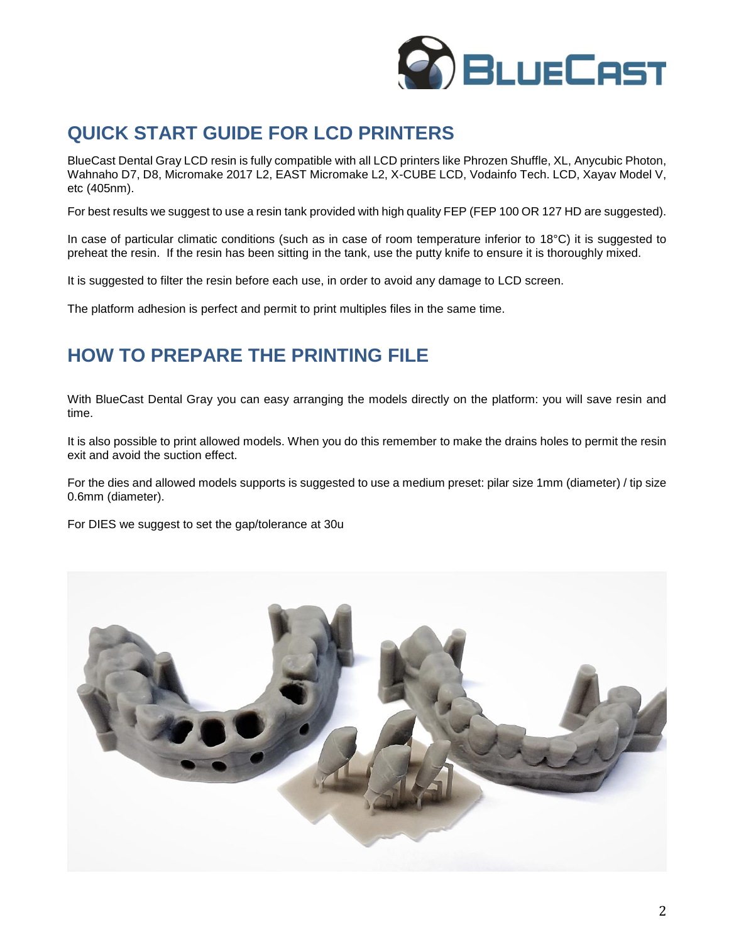

## **QUICK START GUIDE FOR LCD PRINTERS**

BlueCast Dental Gray LCD resin is fully compatible with all LCD printers like Phrozen Shuffle, XL, Anycubic Photon, Wahnaho D7, D8, Micromake 2017 L2, EAST Micromake L2, X-CUBE LCD, Vodainfo Tech. LCD, Xayav Model V, etc (405nm).

For best results we suggest to use a resin tank provided with high quality FEP (FEP 100 OR 127 HD are suggested).

In case of particular climatic conditions (such as in case of room temperature inferior to 18°C) it is suggested to preheat the resin. If the resin has been sitting in the tank, use the putty knife to ensure it is thoroughly mixed.

It is suggested to filter the resin before each use, in order to avoid any damage to LCD screen.

The platform adhesion is perfect and permit to print multiples files in the same time.

### **HOW TO PREPARE THE PRINTING FILE**

With BlueCast Dental Gray you can easy arranging the models directly on the platform: you will save resin and time.

It is also possible to print allowed models. When you do this remember to make the drains holes to permit the resin exit and avoid the suction effect.

For the dies and allowed models supports is suggested to use a medium preset: pilar size 1mm (diameter) / tip size 0.6mm (diameter).

For DIES we suggest to set the gap/tolerance at 30u

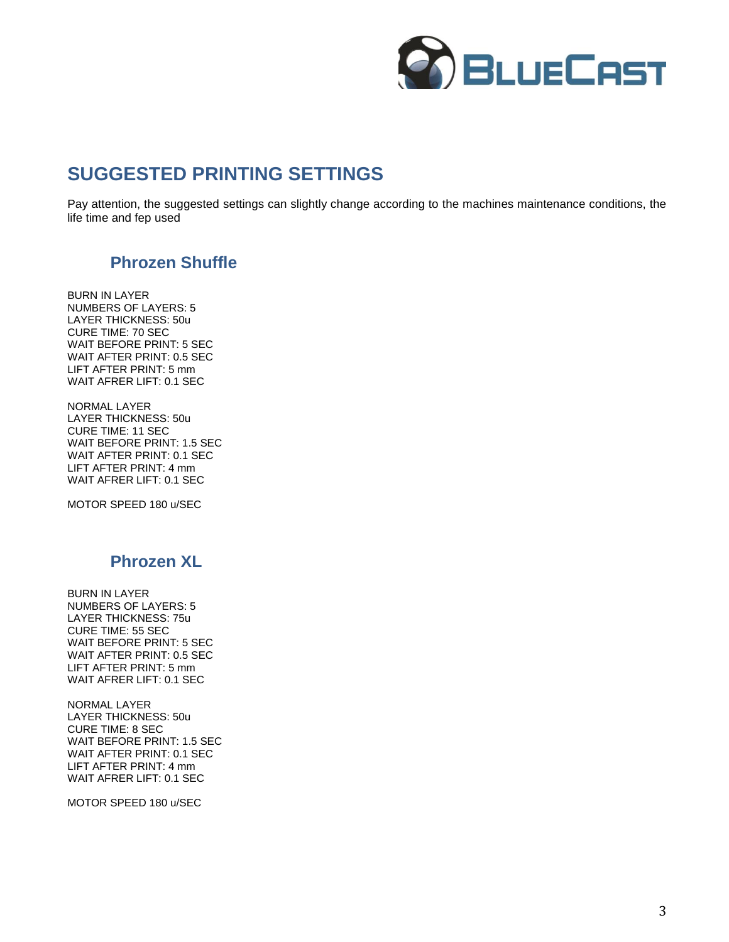

### **SUGGESTED PRINTING SETTINGS**

Pay attention, the suggested settings can slightly change according to the machines maintenance conditions, the life time and fep used

#### **Phrozen Shuffle**

BURN IN LAYER NUMBERS OF LAYERS: 5 LAYER THICKNESS: 50u CURE TIME: 70 SEC WAIT BEFORE PRINT: 5 SEC WAIT AFTER PRINT: 0.5 SEC LIFT AFTER PRINT: 5 mm WAIT AFRER LIFT: 0.1 SEC

NORMAL LAYER LAYER THICKNESS: 50u CURE TIME: 11 SEC WAIT BEFORE PRINT: 1.5 SEC WAIT AFTER PRINT: 0.1 SEC LIFT AFTER PRINT: 4 mm WAIT AFRER LIFT: 0.1 SEC

MOTOR SPEED 180 u/SEC

#### **Phrozen XL**

BURN IN LAYER NUMBERS OF LAYERS: 5 LAYER THICKNESS: 75u CURE TIME: 55 SEC WAIT BEFORE PRINT: 5 SEC WAIT AFTER PRINT: 0.5 SEC LIFT AFTER PRINT: 5 mm WAIT AFRER LIFT: 0.1 SEC

NORMAL LAYER LAYER THICKNESS: 50u CURE TIME: 8 SEC WAIT BEFORE PRINT: 1.5 SEC WAIT AFTER PRINT: 0.1 SEC LIFT AFTER PRINT: 4 mm WAIT AFRER LIFT: 0.1 SEC

MOTOR SPEED 180 u/SEC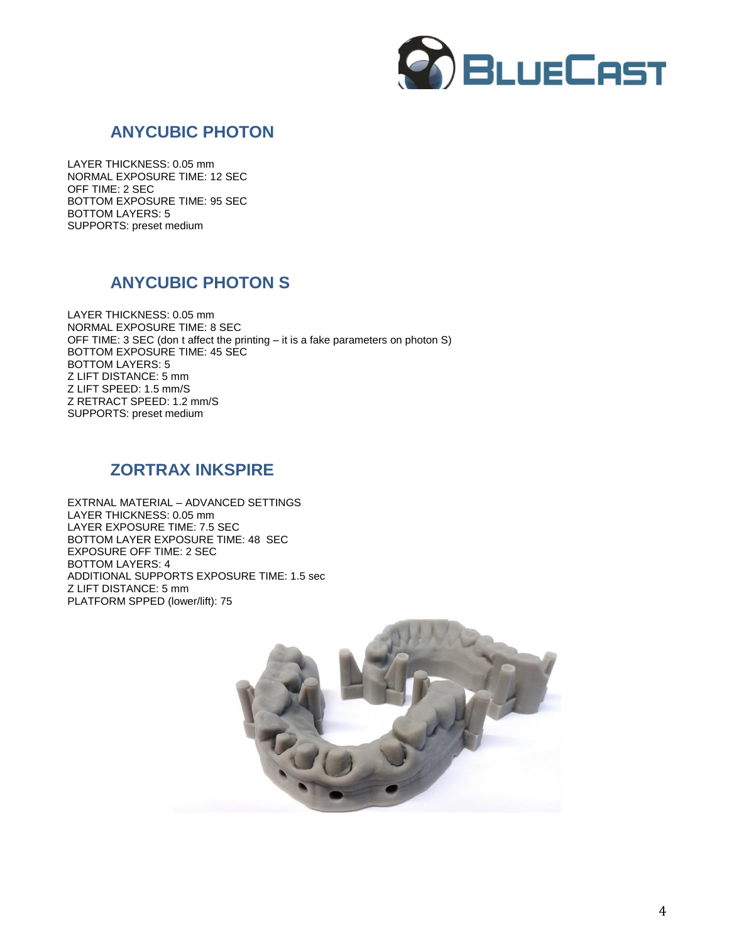

### **ANYCUBIC PHOTON**

LAYER THICKNESS: 0.05 mm NORMAL EXPOSURE TIME: 12 SEC OFF TIME: 2 SEC BOTTOM EXPOSURE TIME: 95 SEC BOTTOM LAYERS: 5 SUPPORTS: preset medium

#### **ANYCUBIC PHOTON S**

LAYER THICKNESS: 0.05 mm NORMAL EXPOSURE TIME: 8 SEC OFF TIME: 3 SEC (don t affect the printing – it is a fake parameters on photon S) BOTTOM EXPOSURE TIME: 45 SEC BOTTOM LAYERS: 5 Z LIFT DISTANCE: 5 mm Z LIFT SPEED: 1.5 mm/S Z RETRACT SPEED: 1.2 mm/S SUPPORTS: preset medium

#### **ZORTRAX INKSPIRE**

EXTRNAL MATERIAL – ADVANCED SETTINGS LAYER THICKNESS: 0.05 mm LAYER EXPOSURE TIME: 7.5 SEC BOTTOM LAYER EXPOSURE TIME: 48 SEC EXPOSURE OFF TIME: 2 SEC BOTTOM LAYERS: 4 ADDITIONAL SUPPORTS EXPOSURE TIME: 1.5 sec Z LIFT DISTANCE: 5 mm PLATFORM SPPED (lower/lift): 75